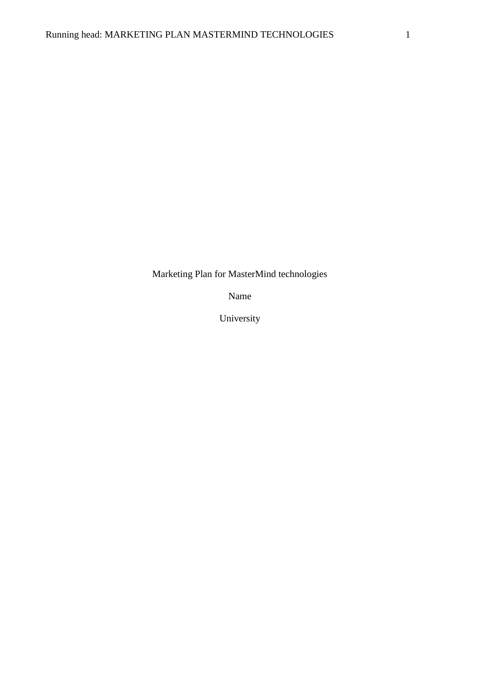Marketing Plan for MasterMind technologies

Name

University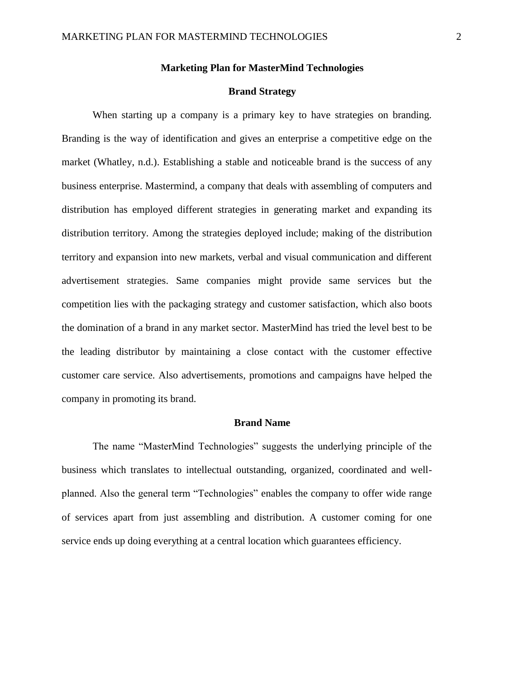## **Marketing Plan for MasterMind Technologies**

## **Brand Strategy**

When starting up a company is a primary key to have strategies on branding. Branding is the way of identification and gives an enterprise a competitive edge on the market (Whatley, n.d.). Establishing a stable and noticeable brand is the success of any business enterprise. Mastermind, a company that deals with assembling of computers and distribution has employed different strategies in generating market and expanding its distribution territory. Among the strategies deployed include; making of the distribution territory and expansion into new markets, verbal and visual communication and different advertisement strategies. Same companies might provide same services but the competition lies with the packaging strategy and customer satisfaction, which also boots the domination of a brand in any market sector. MasterMind has tried the level best to be the leading distributor by maintaining a close contact with the customer effective customer care service. Also advertisements, promotions and campaigns have helped the company in promoting its brand.

### **Brand Name**

The name "MasterMind Technologies" suggests the underlying principle of the business which translates to intellectual outstanding, organized, coordinated and wellplanned. Also the general term "Technologies" enables the company to offer wide range of services apart from just assembling and distribution. A customer coming for one service ends up doing everything at a central location which guarantees efficiency.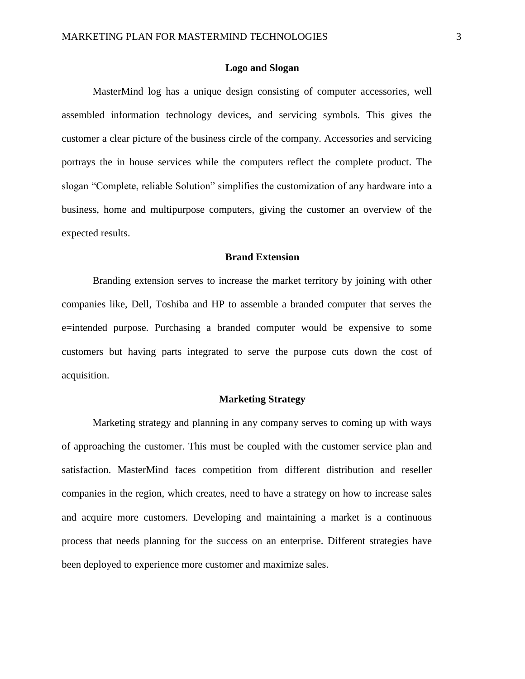### **Logo and Slogan**

MasterMind log has a unique design consisting of computer accessories, well assembled information technology devices, and servicing symbols. This gives the customer a clear picture of the business circle of the company. Accessories and servicing portrays the in house services while the computers reflect the complete product. The slogan "Complete, reliable Solution" simplifies the customization of any hardware into a business, home and multipurpose computers, giving the customer an overview of the expected results.

## **Brand Extension**

Branding extension serves to increase the market territory by joining with other companies like, Dell, Toshiba and HP to assemble a branded computer that serves the e=intended purpose. Purchasing a branded computer would be expensive to some customers but having parts integrated to serve the purpose cuts down the cost of acquisition.

#### **Marketing Strategy**

Marketing strategy and planning in any company serves to coming up with ways of approaching the customer. This must be coupled with the customer service plan and satisfaction. MasterMind faces competition from different distribution and reseller companies in the region, which creates, need to have a strategy on how to increase sales and acquire more customers. Developing and maintaining a market is a continuous process that needs planning for the success on an enterprise. Different strategies have been deployed to experience more customer and maximize sales.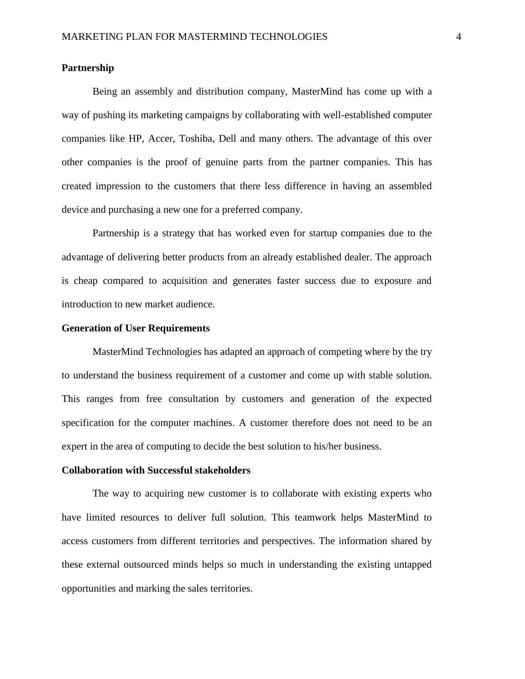## **Partnership**

Being an assembly and distribution company, MasterMind has come up with a way of pushing its marketing campaigns by collaborating with well-established computer companies like HP, Accer, Toshiba, Dell and many others. The advantage of this over other companies is the proof of genuine parts from the partner companies. This has created impression to the customers that there less difference in having an assembled device and purchasing a new one for a preferred company.

Partnership is a strategy that has worked even for startup companies due to the advantage of delivering better products from an already established dealer. The approach is cheap compared to acquisition and generates faster success due to exposure and introduction to new market audience.

### **Generation of User Requirements**

MasterMind Technologies has adapted an approach of competing where by the try to understand the business requirement of a customer and come up with stable solution. This ranges from free consultation by customers and generation of the expected specification for the computer machines. A customer therefore does not need to be an expert in the area of computing to decide the best solution to his/her business.

#### **Collaboration with Successful stakeholders**

The way to acquiring new customer is to collaborate with existing experts who have limited resources to deliver full solution. This teamwork helps MasterMind to access customers from different territories and perspectives. The information shared by these external outsourced minds helps so much in understanding the existing untapped opportunities and marking the sales territories.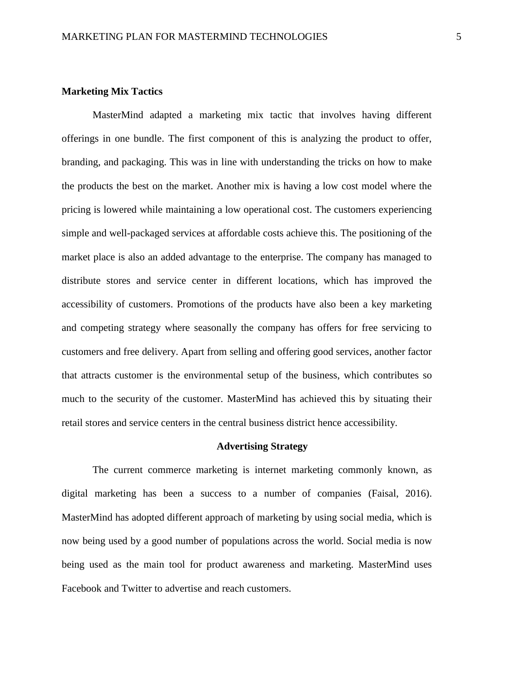## **Marketing Mix Tactics**

MasterMind adapted a marketing mix tactic that involves having different offerings in one bundle. The first component of this is analyzing the product to offer, branding, and packaging. This was in line with understanding the tricks on how to make the products the best on the market. Another mix is having a low cost model where the pricing is lowered while maintaining a low operational cost. The customers experiencing simple and well-packaged services at affordable costs achieve this. The positioning of the market place is also an added advantage to the enterprise. The company has managed to distribute stores and service center in different locations, which has improved the accessibility of customers. Promotions of the products have also been a key marketing and competing strategy where seasonally the company has offers for free servicing to customers and free delivery. Apart from selling and offering good services, another factor that attracts customer is the environmental setup of the business, which contributes so much to the security of the customer. MasterMind has achieved this by situating their retail stores and service centers in the central business district hence accessibility.

#### **Advertising Strategy**

The current commerce marketing is internet marketing commonly known, as digital marketing has been a success to a number of companies (Faisal, 2016). MasterMind has adopted different approach of marketing by using social media, which is now being used by a good number of populations across the world. Social media is now being used as the main tool for product awareness and marketing. MasterMind uses Facebook and Twitter to advertise and reach customers.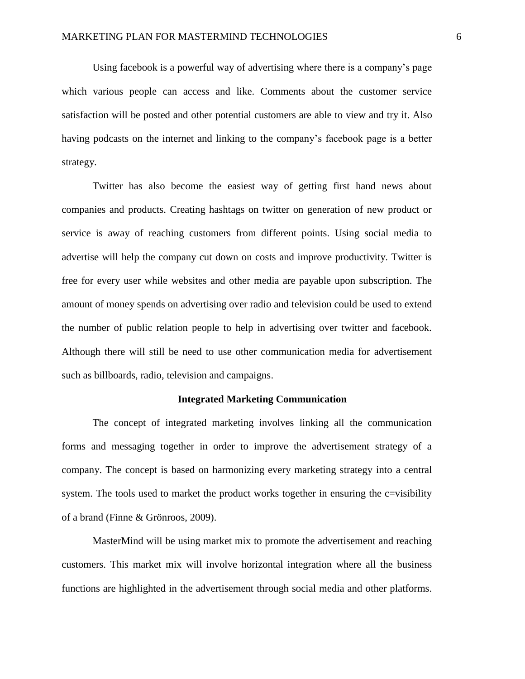Using facebook is a powerful way of advertising where there is a company's page which various people can access and like. Comments about the customer service satisfaction will be posted and other potential customers are able to view and try it. Also having podcasts on the internet and linking to the company's facebook page is a better strategy.

Twitter has also become the easiest way of getting first hand news about companies and products. Creating hashtags on twitter on generation of new product or service is away of reaching customers from different points. Using social media to advertise will help the company cut down on costs and improve productivity. Twitter is free for every user while websites and other media are payable upon subscription. The amount of money spends on advertising over radio and television could be used to extend the number of public relation people to help in advertising over twitter and facebook. Although there will still be need to use other communication media for advertisement such as billboards, radio, television and campaigns.

#### **Integrated Marketing Communication**

The concept of integrated marketing involves linking all the communication forms and messaging together in order to improve the advertisement strategy of a company. The concept is based on harmonizing every marketing strategy into a central system. The tools used to market the product works together in ensuring the c=visibility of a brand (Finne & Grönroos, 2009).

MasterMind will be using market mix to promote the advertisement and reaching customers. This market mix will involve horizontal integration where all the business functions are highlighted in the advertisement through social media and other platforms.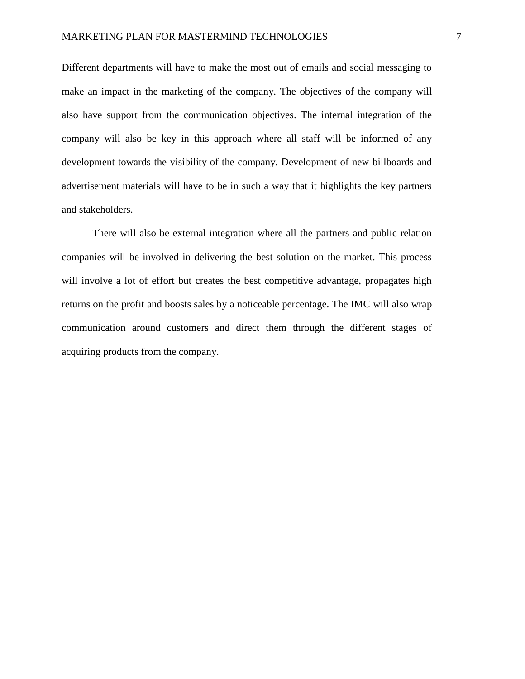Different departments will have to make the most out of emails and social messaging to make an impact in the marketing of the company. The objectives of the company will also have support from the communication objectives. The internal integration of the company will also be key in this approach where all staff will be informed of any development towards the visibility of the company. Development of new billboards and advertisement materials will have to be in such a way that it highlights the key partners and stakeholders.

There will also be external integration where all the partners and public relation companies will be involved in delivering the best solution on the market. This process will involve a lot of effort but creates the best competitive advantage, propagates high returns on the profit and boosts sales by a noticeable percentage. The IMC will also wrap communication around customers and direct them through the different stages of acquiring products from the company.